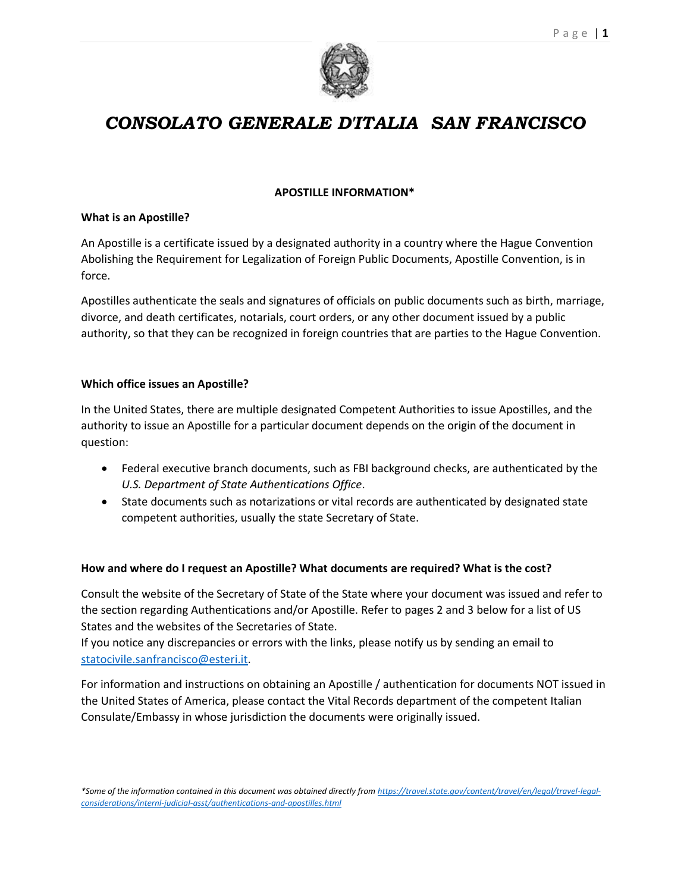

### *CONSOLATO GENERALE D'ITALIA SAN FRANCISCO*

#### **APOSTILLE INFORMATION\***

#### **What is an Apostille?**

An Apostille is a certificate issued by a designated authority in a country where the Hague Convention Abolishing the Requirement for Legalization of Foreign Public Documents, Apostille Convention, is in force.

Apostilles authenticate the seals and signatures of officials on public documents such as birth, marriage, divorce, and death certificates, notarials, court orders, or any other document issued by a public authority, so that they can be recognized in foreign countries that are parties to the Hague Convention.

#### **Which office issues an Apostille?**

In the United States, there are multiple designated Competent Authorities to issue Apostilles, and the authority to issue an Apostille for a particular document depends on the origin of the document in question:

- Federal executive branch documents, such as FBI background checks, are authenticated by the *U.S. Department of State Authentications Office*.
- State documents such as notarizations or vital records are authenticated by designated state competent authorities, usually the state Secretary of State.

#### **How and where do I request an Apostille? What documents are required? What is the cost?**

Consult the website of the Secretary of State of the State where your document was issued and refer to the section regarding Authentications and/or Apostille. Refer to pages 2 and 3 below for a list of US States and the websites of the Secretaries of State.

If you notice any discrepancies or errors with the links, please notify us by sending an email to [statocivile.sanfrancisco@esteri.it.](mailto:statocivile.sanfrancisco@esteri.it)

For information and instructions on obtaining an Apostille / authentication for documents NOT issued in the United States of America, please contact the Vital Records department of the competent Italian Consulate/Embassy in whose jurisdiction the documents were originally issued.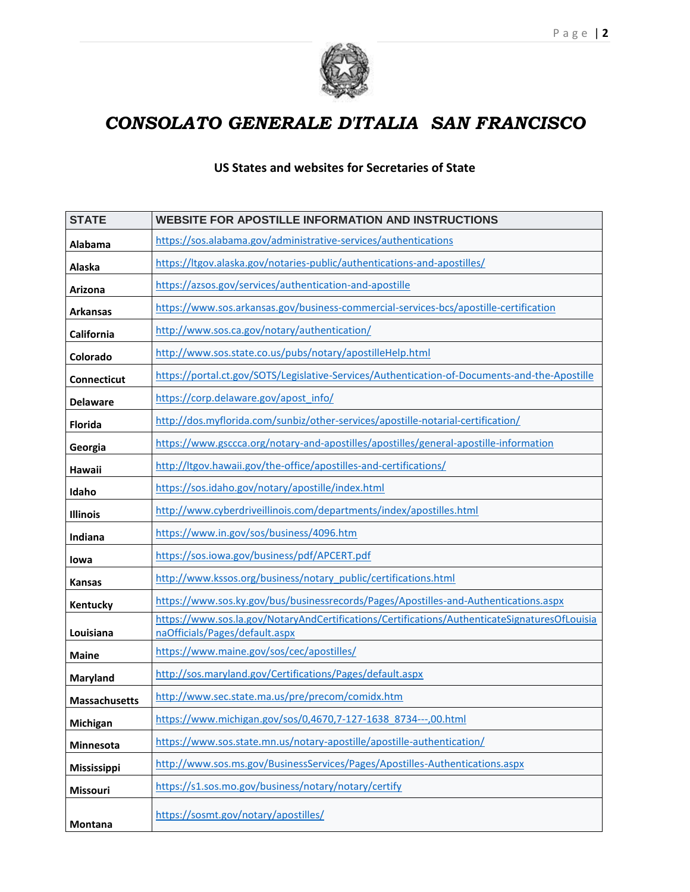



# *CONSOLATO GENERALE D'ITALIA SAN FRANCISCO*

### **US States and websites for Secretaries of State**

| <b>STATE</b>         | <b>WEBSITE FOR APOSTILLE INFORMATION AND INSTRUCTIONS</b>                                                                       |
|----------------------|---------------------------------------------------------------------------------------------------------------------------------|
| Alabama              | https://sos.alabama.gov/administrative-services/authentications                                                                 |
| Alaska               | https://ltgov.alaska.gov/notaries-public/authentications-and-apostilles/                                                        |
| Arizona              | https://azsos.gov/services/authentication-and-apostille                                                                         |
| <b>Arkansas</b>      | https://www.sos.arkansas.gov/business-commercial-services-bcs/apostille-certification                                           |
| California           | http://www.sos.ca.gov/notary/authentication/                                                                                    |
| Colorado             | http://www.sos.state.co.us/pubs/notary/apostilleHelp.html                                                                       |
| <b>Connecticut</b>   | https://portal.ct.gov/SOTS/Legislative-Services/Authentication-of-Documents-and-the-Apostille                                   |
| <b>Delaware</b>      | https://corp.delaware.gov/apost_info/                                                                                           |
| <b>Florida</b>       | http://dos.myflorida.com/sunbiz/other-services/apostille-notarial-certification/                                                |
| Georgia              | https://www.gsccca.org/notary-and-apostilles/apostilles/general-apostille-information                                           |
| Hawaii               | http://ltgov.hawaii.gov/the-office/apostilles-and-certifications/                                                               |
| Idaho                | https://sos.idaho.gov/notary/apostille/index.html                                                                               |
| <b>Illinois</b>      | http://www.cyberdriveillinois.com/departments/index/apostilles.html                                                             |
| Indiana              | https://www.in.gov/sos/business/4096.htm                                                                                        |
| lowa                 | https://sos.iowa.gov/business/pdf/APCERT.pdf                                                                                    |
| <b>Kansas</b>        | http://www.kssos.org/business/notary_public/certifications.html                                                                 |
| Kentucky             | https://www.sos.ky.gov/bus/businessrecords/Pages/Apostilles-and-Authentications.aspx                                            |
| Louisiana            | https://www.sos.la.gov/NotaryAndCertifications/Certifications/AuthenticateSignaturesOfLouisia<br>naOfficials/Pages/default.aspx |
| <b>Maine</b>         | https://www.maine.gov/sos/cec/apostilles/                                                                                       |
| <b>Maryland</b>      | http://sos.maryland.gov/Certifications/Pages/default.aspx                                                                       |
| <b>Massachusetts</b> | http://www.sec.state.ma.us/pre/precom/comidx.htm                                                                                |
| Michigan             | https://www.michigan.gov/sos/0,4670,7-127-1638 8734---,00.html                                                                  |
| Minnesota            | https://www.sos.state.mn.us/notary-apostille/apostille-authentication/                                                          |
| Mississippi          | http://www.sos.ms.gov/BusinessServices/Pages/Apostilles-Authentications.aspx                                                    |
| Missouri             | https://s1.sos.mo.gov/business/notary/notary/certify                                                                            |
| Montana              | https://sosmt.gov/notary/apostilles/                                                                                            |